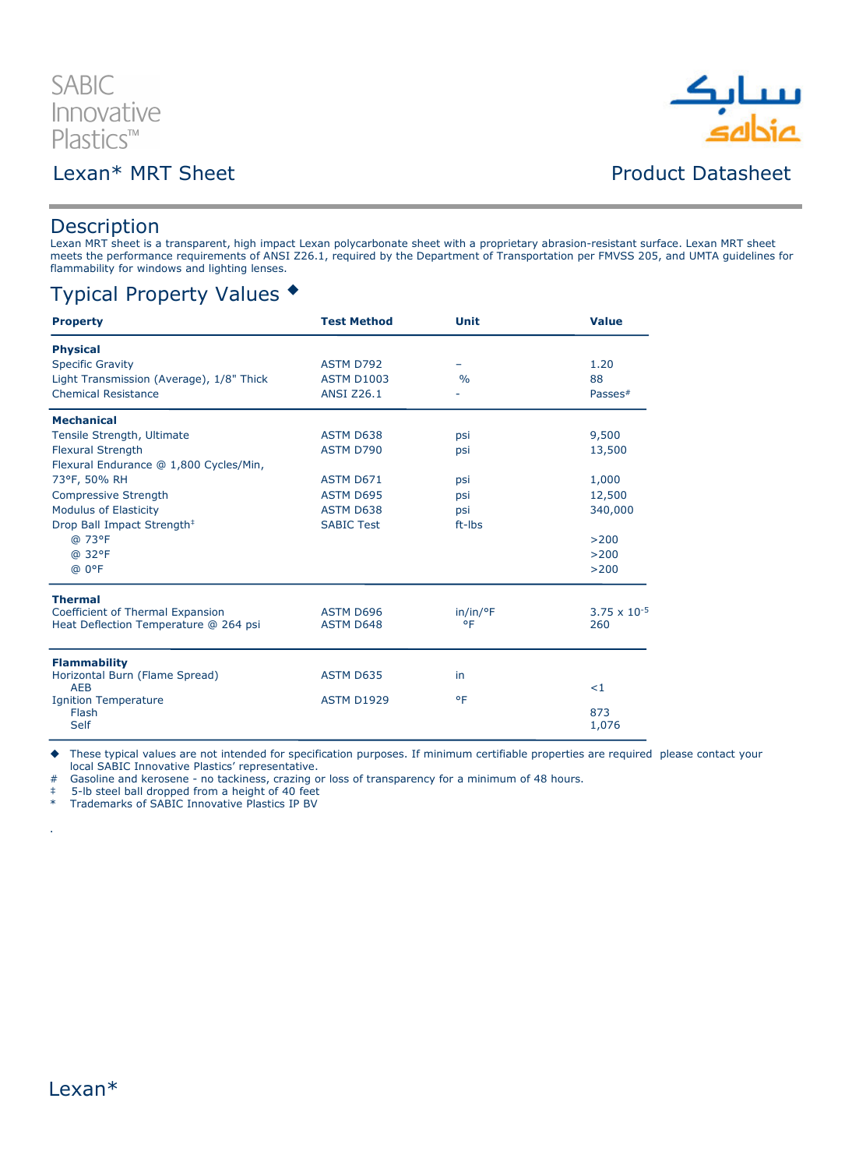# **SABIC** Innovative Plastics™

# Lexan\* MRT Sheet **Product Datasheet**

# ىبىيا بك<br>غاداھە

#### **Description**

Lexan MRT sheet is a transparent, high impact Lexan polycarbonate sheet with a proprietary abrasion-resistant surface. Lexan MRT sheet meets the performance requirements of ANSI Z26.1, required by the Department of Transportation per FMVSS 205, and UMTA guidelines for flammability for windows and lighting lenses.

## Typical Property Values

| <b>Property</b>                          | <b>Test Method</b> | Unit          | <b>Value</b>          |
|------------------------------------------|--------------------|---------------|-----------------------|
| <b>Physical</b>                          |                    |               |                       |
| <b>Specific Gravity</b>                  | <b>ASTM D792</b>   |               | 1.20                  |
| Light Transmission (Average), 1/8" Thick | <b>ASTM D1003</b>  | $\frac{0}{0}$ | 88                    |
| <b>Chemical Resistance</b>               | <b>ANSI Z26.1</b>  |               | Passes <sup>#</sup>   |
| <b>Mechanical</b>                        |                    |               |                       |
| Tensile Strength, Ultimate               | <b>ASTM D638</b>   | psi           | 9,500                 |
| <b>Flexural Strength</b>                 | ASTM D790          | psi           | 13,500                |
| Flexural Endurance @ 1,800 Cycles/Min,   |                    |               |                       |
| 73°F, 50% RH                             | ASTM D671          | psi           | 1,000                 |
| <b>Compressive Strength</b>              | <b>ASTM D695</b>   | psi           | 12,500                |
| <b>Modulus of Elasticity</b>             | <b>ASTM D638</b>   | psi           | 340,000               |
| Drop Ball Impact Strength <sup>‡</sup>   | <b>SABIC Test</b>  | ft-Ibs        |                       |
| @ 73°F                                   |                    |               | >200                  |
| @ 32°F                                   |                    |               | >200                  |
| @ 0°F                                    |                    |               | >200                  |
| <b>Thermal</b>                           |                    |               |                       |
| Coefficient of Thermal Expansion         | ASTM D696          | in/in/°F      | $3.75 \times 10^{-5}$ |
| Heat Deflection Temperature @ 264 psi    | <b>ASTM D648</b>   | ۰F            | 260                   |
| <b>Flammability</b>                      |                    |               |                       |
| Horizontal Burn (Flame Spread)           | ASTM D635          | in            |                       |
| <b>AEB</b>                               |                    |               | $\leq$ 1              |
| <b>Ignition Temperature</b>              | <b>ASTM D1929</b>  | ٥F            |                       |
| Flash<br><b>Self</b>                     |                    |               | 873<br>1,076          |
|                                          |                    |               |                       |

These typical values are not intended for specification purposes. If minimum certifiable properties are required please contact your

local SABIC Innovative Plastics' representative.

# Gasoline and kerosene - no tackiness, crazing or loss of transparency for a minimum of 48 hours.

‡ 5-lb steel ball dropped from a height of 40 feet

\* Trademarks of SABIC Innovative Plastics IP BV



.